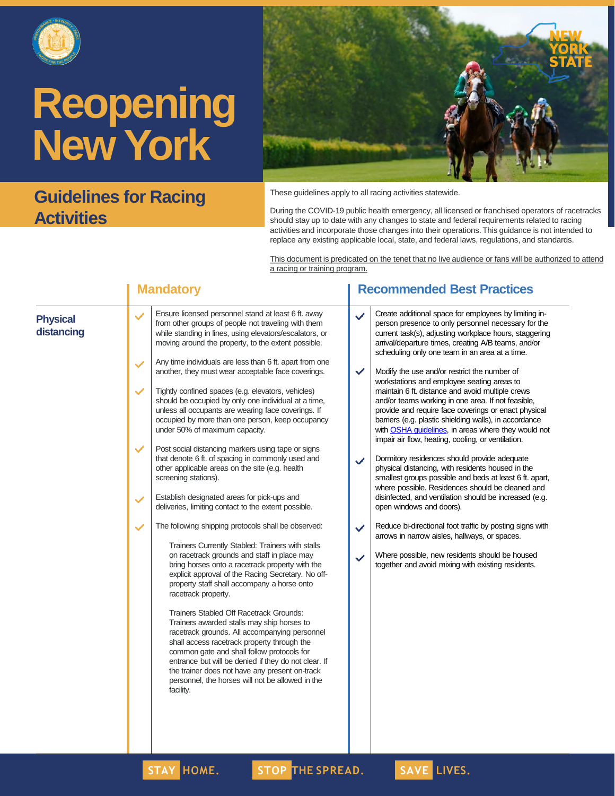

### **Guidelines for Racing Activities**



These guidelines apply to all racing activities statewide.

During the COVID-19 public health emergency, all licensed or franchised operators of racetracks should stay up to date with any changes to state and federal requirements related to racing activities and incorporate those changes into their operations.This guidance is not intended to replace any existing applicable local, state, and federal laws, regulations, and standards.

This document is predicated on the tenet that no live audience or fans will be authorized to attend a racing or training program.

|                               | <b>Mandatory</b>                                                                                                                                                                                                                                                                                                                                                                                                                                                                                                                                                                                                                                                                                                                                                                                                                                                                                                                                                                                                                       | <b>Recommended Best Practices</b>                                                                                                                                                                                                                                                                                                                                                                                                                                                                                                                                                                                                                                                                                                                                                                                                                                                                                                                                                                                                                                                                                                                                                                  |
|-------------------------------|----------------------------------------------------------------------------------------------------------------------------------------------------------------------------------------------------------------------------------------------------------------------------------------------------------------------------------------------------------------------------------------------------------------------------------------------------------------------------------------------------------------------------------------------------------------------------------------------------------------------------------------------------------------------------------------------------------------------------------------------------------------------------------------------------------------------------------------------------------------------------------------------------------------------------------------------------------------------------------------------------------------------------------------|----------------------------------------------------------------------------------------------------------------------------------------------------------------------------------------------------------------------------------------------------------------------------------------------------------------------------------------------------------------------------------------------------------------------------------------------------------------------------------------------------------------------------------------------------------------------------------------------------------------------------------------------------------------------------------------------------------------------------------------------------------------------------------------------------------------------------------------------------------------------------------------------------------------------------------------------------------------------------------------------------------------------------------------------------------------------------------------------------------------------------------------------------------------------------------------------------|
| <b>Physical</b><br>distancing | Ensure licensed personnel stand at least 6 ft. away<br>$\checkmark$<br>from other groups of people not traveling with them<br>while standing in lines, using elevators/escalators, or<br>moving around the property, to the extent possible.<br>Any time individuals are less than 6 ft. apart from one<br>$\checkmark$<br>another, they must wear acceptable face coverings.<br>Tightly confined spaces (e.g. elevators, vehicles)<br>✓<br>should be occupied by only one individual at a time,<br>unless all occupants are wearing face coverings. If<br>occupied by more than one person, keep occupancy<br>under 50% of maximum capacity.<br>Post social distancing markers using tape or signs<br>✓<br>that denote 6 ft. of spacing in commonly used and<br>other applicable areas on the site (e.g. health<br>screening stations).<br>Establish designated areas for pick-ups and<br>$\checkmark$<br>deliveries, limiting contact to the extent possible.<br>The following shipping protocols shall be observed:<br>$\checkmark$ | Create additional space for employees by limiting in-<br>✓<br>person presence to only personnel necessary for the<br>current task(s), adjusting workplace hours, staggering<br>arrival/departure times, creating A/B teams, and/or<br>scheduling only one team in an area at a time.<br>$\checkmark$<br>Modify the use and/or restrict the number of<br>workstations and employee seating areas to<br>maintain 6 ft. distance and avoid multiple crews<br>and/or teams working in one area. If not feasible,<br>provide and require face coverings or enact physical<br>barriers (e.g. plastic shielding walls), in accordance<br>with OSHA guidelines, in areas where they would not<br>impair air flow, heating, cooling, or ventilation.<br>Dormitory residences should provide adequate<br>$\checkmark$<br>physical distancing, with residents housed in the<br>smallest groups possible and beds at least 6 ft. apart,<br>where possible. Residences should be cleaned and<br>disinfected, and ventilation should be increased (e.g.<br>open windows and doors).<br>Reduce bi-directional foot traffic by posting signs with<br>$\checkmark$<br>arrows in narrow aisles, hallways, or spaces. |
|                               | Trainers Currently Stabled: Trainers with stalls<br>on racetrack grounds and staff in place may<br>bring horses onto a racetrack property with the<br>explicit approval of the Racing Secretary. No off-<br>property staff shall accompany a horse onto<br>racetrack property.<br>Trainers Stabled Off Racetrack Grounds:<br>Trainers awarded stalls may ship horses to<br>racetrack grounds. All accompanying personnel<br>shall access racetrack property through the<br>common gate and shall follow protocols for<br>entrance but will be denied if they do not clear. If<br>the trainer does not have any present on-track<br>personnel, the horses will not be allowed in the<br>facility.                                                                                                                                                                                                                                                                                                                                       | Where possible, new residents should be housed<br>$\checkmark$<br>together and avoid mixing with existing residents.                                                                                                                                                                                                                                                                                                                                                                                                                                                                                                                                                                                                                                                                                                                                                                                                                                                                                                                                                                                                                                                                               |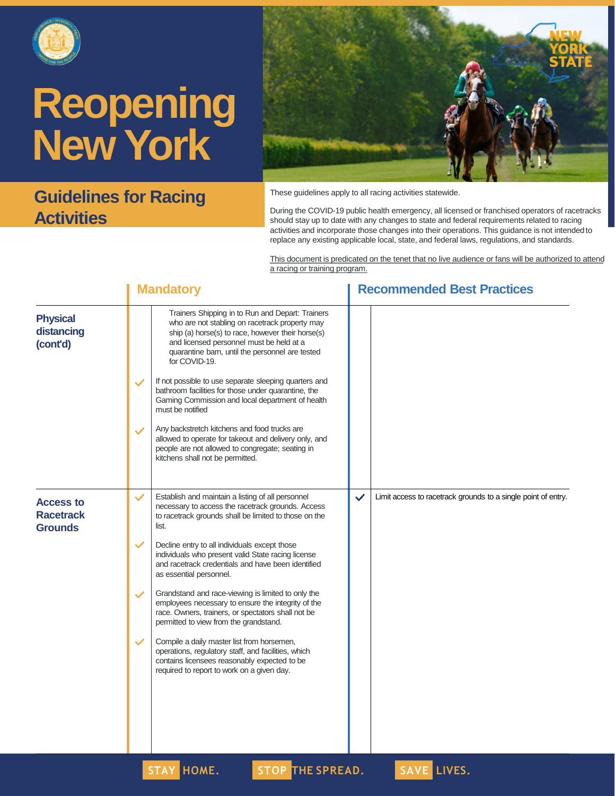

### **Guidelines for Racing Activities**



These guidelines apply to all racing activities statewide.

During the COVID-19 public health emergency, all licensed or franchised operators of racetracks should stay up to date with any changes to state and federal requirements related to racing activities and incorporate those changes into their operations. This guidance is not intendedto replace any existing applicable local, state, and federal laws, regulations, and standards.

This document is predicated on the tenet that no live audience or fans will be authorized to attend a racing or training program.

|                                                        |              | <b>Mandatory</b>                                                                                                                                                                                                                                                                                                                 |              | <b>Recommended Best Practices</b>                             |  |  |
|--------------------------------------------------------|--------------|----------------------------------------------------------------------------------------------------------------------------------------------------------------------------------------------------------------------------------------------------------------------------------------------------------------------------------|--------------|---------------------------------------------------------------|--|--|
| <b>Physical</b><br>distancing<br>(cont'd)              | $\checkmark$ | Trainers Shipping in to Run and Depart: Trainers<br>who are not stabling on racetrack property may<br>ship (a) horse(s) to race, however their horse(s)<br>and licensed personnel must be held at a<br>quarantine barn, until the personnel are tested<br>for COVID-19.<br>If not possible to use separate sleeping quarters and |              |                                                               |  |  |
|                                                        |              | bathroom facilities for those under quarantine, the<br>Gaming Commission and local department of health<br>must be notified                                                                                                                                                                                                      |              |                                                               |  |  |
|                                                        | $\checkmark$ | Any backstretch kitchens and food trucks are<br>allowed to operate for takeout and delivery only, and<br>people are not allowed to congregate; seating in<br>kitchens shall not be permitted.                                                                                                                                    |              |                                                               |  |  |
| <b>Access to</b><br><b>Racetrack</b><br><b>Grounds</b> | $\checkmark$ | Establish and maintain a listing of all personnel<br>necessary to access the racetrack grounds. Access<br>to racetrack grounds shall be limited to those on the<br>list.                                                                                                                                                         | $\checkmark$ | Limit access to racetrack grounds to a single point of entry. |  |  |
|                                                        | $\checkmark$ | Decline entry to all individuals except those<br>individuals who present valid State racing license<br>and racetrack credentials and have been identified<br>as essential personnel.                                                                                                                                             |              |                                                               |  |  |
|                                                        | $\checkmark$ | Grandstand and race-viewing is limited to only the<br>employees necessary to ensure the integrity of the<br>race. Owners, trainers, or spectators shall not be<br>permitted to view from the grandstand.                                                                                                                         |              |                                                               |  |  |
|                                                        | $\checkmark$ | Compile a daily master list from horsemen,<br>operations, regulatory staff, and facilities, which<br>contains licensees reasonably expected to be<br>required to report to work on a given day.                                                                                                                                  |              |                                                               |  |  |
|                                                        |              |                                                                                                                                                                                                                                                                                                                                  |              |                                                               |  |  |

**STAY HOME. STOP THE SPREAD. SAVE LIVES.**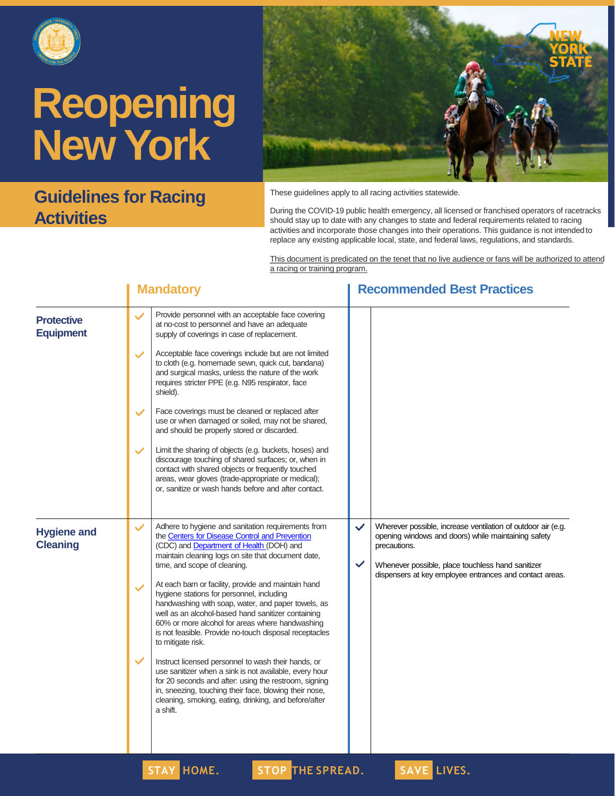

### **Guidelines for Racing Activities**



These guidelines apply to all racing activities statewide.

During the COVID-19 public health emergency, all licensed or franchised operators of racetracks should stay up to date with any changes to state and federal requirements related to racing activities and incorporate those changes into their operations. This guidance is not intendedto replace any existing applicable local, state, and federal laws, regulations, and standards.

This document is predicated on the tenet that no live audience or fans will be authorized to attend a racing or training program.

|                                       | <b>Mandatory</b>                                                                                                                                                                                                                                                                                                                                                                                                                                                                                                                                                                                                                                                                                                                                                                                                                                                                                                                                  | <b>Recommended Best Practices</b>                                                                                                                                                                                                                                                   |  |
|---------------------------------------|---------------------------------------------------------------------------------------------------------------------------------------------------------------------------------------------------------------------------------------------------------------------------------------------------------------------------------------------------------------------------------------------------------------------------------------------------------------------------------------------------------------------------------------------------------------------------------------------------------------------------------------------------------------------------------------------------------------------------------------------------------------------------------------------------------------------------------------------------------------------------------------------------------------------------------------------------|-------------------------------------------------------------------------------------------------------------------------------------------------------------------------------------------------------------------------------------------------------------------------------------|--|
| <b>Protective</b><br><b>Equipment</b> | Provide personnel with an acceptable face covering<br>$\checkmark$<br>at no-cost to personnel and have an adequate<br>supply of coverings in case of replacement.<br>Acceptable face coverings include but are not limited<br>$\checkmark$<br>to cloth (e.g. homemade sewn, quick cut, bandana)<br>and surgical masks, unless the nature of the work<br>requires stricter PPE (e.g. N95 respirator, face<br>shield).<br>Face coverings must be cleaned or replaced after<br>$\checkmark$<br>use or when damaged or soiled, may not be shared,<br>and should be properly stored or discarded.<br>Limit the sharing of objects (e.g. buckets, hoses) and<br>$\checkmark$<br>discourage touching of shared surfaces; or, when in<br>contact with shared objects or frequently touched<br>areas, wear gloves (trade-appropriate or medical);<br>or, sanitize or wash hands before and after contact.                                                  |                                                                                                                                                                                                                                                                                     |  |
| <b>Hygiene and</b><br><b>Cleaning</b> | Adhere to hygiene and sanitation requirements from<br>$\checkmark$<br>the Centers for Disease Control and Prevention<br>(CDC) and Department of Health (DOH) and<br>maintain cleaning logs on site that document date,<br>time, and scope of cleaning.<br>At each barn or facility, provide and maintain hand<br>$\checkmark$<br>hygiene stations for personnel, including<br>handwashing with soap, water, and paper towels, as<br>well as an alcohol-based hand sanitizer containing<br>60% or more alcohol for areas where handwashing<br>is not feasible. Provide no-touch disposal receptacles<br>to mitigate risk.<br>$\checkmark$<br>Instruct licensed personnel to wash their hands, or<br>use sanitizer when a sink is not available, every hour<br>for 20 seconds and after: using the restroom, signing<br>in, sneezing, touching their face, blowing their nose,<br>cleaning, smoking, eating, drinking, and before/after<br>a shift. | Wherever possible, increase ventilation of outdoor air (e.g.<br>$\checkmark$<br>opening windows and doors) while maintaining safety<br>precautions.<br>$\checkmark$<br>Whenever possible, place touchless hand sanitizer<br>dispensers at key employee entrances and contact areas. |  |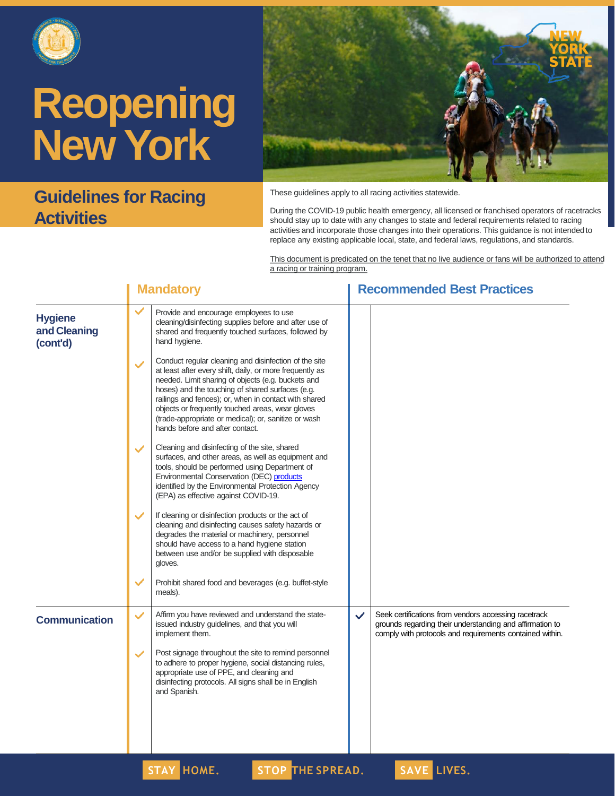

### **Guidelines for Racing Activities**



These guidelines apply to all racing activities statewide.

During the COVID-19 public health emergency, all licensed or franchised operators of racetracks should stay up to date with any changes to state and federal requirements related to racing activities and incorporate those changes into their operations. This guidance is not intendedto replace any existing applicable local, state, and federal laws, regulations, and standards.

This document is predicated on the tenet that no live audience or fans will be authorized to attend a racing or training program.

|                                            |              | <b>Mandatory</b>                                                                                                                                                                                                                                                                                                                                                                                                                    |              | <b>Recommended Best Practices</b>                                                                                                                                            |
|--------------------------------------------|--------------|-------------------------------------------------------------------------------------------------------------------------------------------------------------------------------------------------------------------------------------------------------------------------------------------------------------------------------------------------------------------------------------------------------------------------------------|--------------|------------------------------------------------------------------------------------------------------------------------------------------------------------------------------|
| <b>Hygiene</b><br>and Cleaning<br>(cont'd) | $\checkmark$ | Provide and encourage employees to use<br>cleaning/disinfecting supplies before and after use of<br>shared and frequently touched surfaces, followed by<br>hand hygiene.                                                                                                                                                                                                                                                            |              |                                                                                                                                                                              |
|                                            | ✓            | Conduct regular cleaning and disinfection of the site<br>at least after every shift, daily, or more frequently as<br>needed. Limit sharing of objects (e.g. buckets and<br>hoses) and the touching of shared surfaces (e.g.<br>railings and fences); or, when in contact with shared<br>objects or frequently touched areas, wear gloves<br>(trade-appropriate or medical); or, sanitize or wash<br>hands before and after contact. |              |                                                                                                                                                                              |
|                                            | $\checkmark$ | Cleaning and disinfecting of the site, shared<br>surfaces, and other areas, as well as equipment and<br>tools, should be performed using Department of<br>Environmental Conservation (DEC) products<br>identified by the Environmental Protection Agency<br>(EPA) as effective against COVID-19.                                                                                                                                    |              |                                                                                                                                                                              |
|                                            | ✓            | If cleaning or disinfection products or the act of<br>cleaning and disinfecting causes safety hazards or<br>degrades the material or machinery, personnel<br>should have access to a hand hygiene station<br>between use and/or be supplied with disposable<br>gloves.                                                                                                                                                              |              |                                                                                                                                                                              |
|                                            | $\checkmark$ | Prohibit shared food and beverages (e.g. buffet-style<br>meals).                                                                                                                                                                                                                                                                                                                                                                    |              |                                                                                                                                                                              |
| <b>Communication</b>                       | ✓            | Affirm you have reviewed and understand the state-<br>issued industry guidelines, and that you will<br>implement them.                                                                                                                                                                                                                                                                                                              | $\checkmark$ | Seek certifications from vendors accessing racetrack<br>grounds regarding their understanding and affirmation to<br>comply with protocols and requirements contained within. |
|                                            | ✓            | Post signage throughout the site to remind personnel<br>to adhere to proper hygiene, social distancing rules,<br>appropriate use of PPE, and cleaning and<br>disinfecting protocols. All signs shall be in English<br>and Spanish.                                                                                                                                                                                                  |              |                                                                                                                                                                              |
|                                            |              |                                                                                                                                                                                                                                                                                                                                                                                                                                     |              |                                                                                                                                                                              |

**STAY HOME. STOP THE SPREAD. SAVE LIVES.**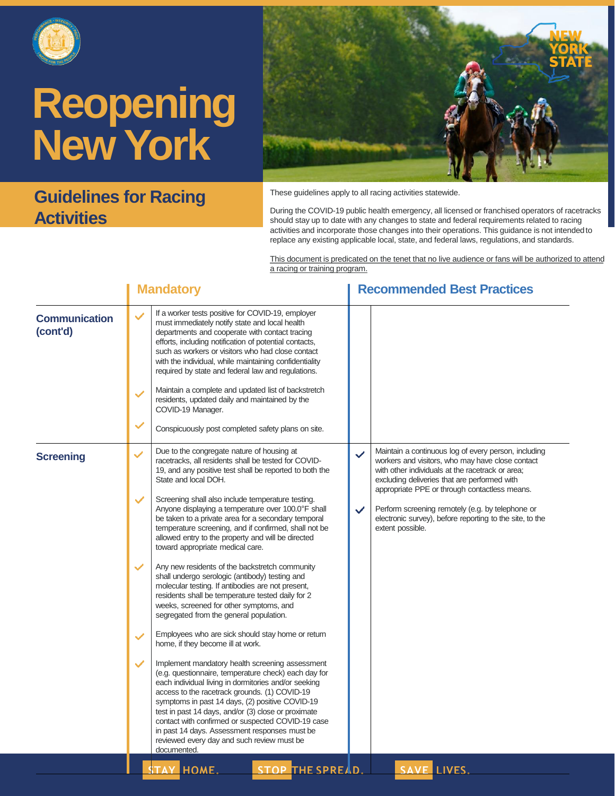

### **Guidelines for Racing Activities**



These guidelines apply to all racing activities statewide.

During the COVID-19 public health emergency, all licensed or franchised operators of racetracks should stay up to date with any changes to state and federal requirements related to racing activities and incorporate those changes into their operations. This guidance is not intendedto replace any existing applicable local, state, and federal laws, regulations, and standards.

This document is predicated on the tenet that no live audience or fans will be authorized to attend a racing or training program.

|                                  | <b>Mandatory</b>                                                                                                                                                                                                                                                                                                                                                                                                                                                                                                                                                                                                                                                                                                                                                                                                                                                                                                                                                                                                                                                                                                                                                                                                                                                                                                                                                                                                                                         | <b>Recommended Best Practices</b>                                                                                                                                                                                                                                                                                                                                                                                                 |
|----------------------------------|----------------------------------------------------------------------------------------------------------------------------------------------------------------------------------------------------------------------------------------------------------------------------------------------------------------------------------------------------------------------------------------------------------------------------------------------------------------------------------------------------------------------------------------------------------------------------------------------------------------------------------------------------------------------------------------------------------------------------------------------------------------------------------------------------------------------------------------------------------------------------------------------------------------------------------------------------------------------------------------------------------------------------------------------------------------------------------------------------------------------------------------------------------------------------------------------------------------------------------------------------------------------------------------------------------------------------------------------------------------------------------------------------------------------------------------------------------|-----------------------------------------------------------------------------------------------------------------------------------------------------------------------------------------------------------------------------------------------------------------------------------------------------------------------------------------------------------------------------------------------------------------------------------|
| <b>Communication</b><br>(cont'd) | If a worker tests positive for COVID-19, employer<br>$\checkmark$<br>must immediately notify state and local health<br>departments and cooperate with contact tracing<br>efforts, including notification of potential contacts,<br>such as workers or visitors who had close contact<br>with the individual, while maintaining confidentiality<br>required by state and federal law and regulations.<br>Maintain a complete and updated list of backstretch<br>$\checkmark$<br>residents, updated daily and maintained by the<br>COVID-19 Manager.<br>✓<br>Conspicuously post completed safety plans on site.                                                                                                                                                                                                                                                                                                                                                                                                                                                                                                                                                                                                                                                                                                                                                                                                                                            |                                                                                                                                                                                                                                                                                                                                                                                                                                   |
| <b>Screening</b>                 | Due to the congregate nature of housing at<br>✓<br>racetracks, all residents shall be tested for COVID-<br>19, and any positive test shall be reported to both the<br>State and local DOH.<br>Screening shall also include temperature testing.<br>$\checkmark$<br>Anyone displaying a temperature over 100.0°F shall<br>be taken to a private area for a secondary temporal<br>temperature screening, and if confirmed, shall not be<br>allowed entry to the property and will be directed<br>toward appropriate medical care.<br>Any new residents of the backstretch community<br>$\checkmark$<br>shall undergo serologic (antibody) testing and<br>molecular testing. If antibodies are not present,<br>residents shall be temperature tested daily for 2<br>weeks, screened for other symptoms, and<br>segregated from the general population.<br>Employees who are sick should stay home or return<br>✓<br>home, if they become ill at work.<br>Implement mandatory health screening assessment<br>✓<br>(e.g. questionnaire, temperature check) each day for<br>each individual living in dormitories and/or seeking<br>access to the racetrack grounds. (1) COVID-19<br>symptoms in past 14 days, (2) positive COVID-19<br>test in past 14 days, and/or (3) close or proximate<br>contact with confirmed or suspected COVID-19 case<br>in past 14 days. Assessment responses must be<br>reviewed every day and such review must be<br>documented. | Maintain a continuous log of every person, including<br>$\checkmark$<br>workers and visitors, who may have close contact<br>with other individuals at the racetrack or area;<br>excluding deliveries that are performed with<br>appropriate PPE or through contactless means.<br>Perform screening remotely (e.g. by telephone or<br>$\checkmark$<br>electronic survey), before reporting to the site, to the<br>extent possible. |
|                                  | <b>STAY HOME.</b><br>STOP THE SPREAD.                                                                                                                                                                                                                                                                                                                                                                                                                                                                                                                                                                                                                                                                                                                                                                                                                                                                                                                                                                                                                                                                                                                                                                                                                                                                                                                                                                                                                    | SAVE LIVES.                                                                                                                                                                                                                                                                                                                                                                                                                       |